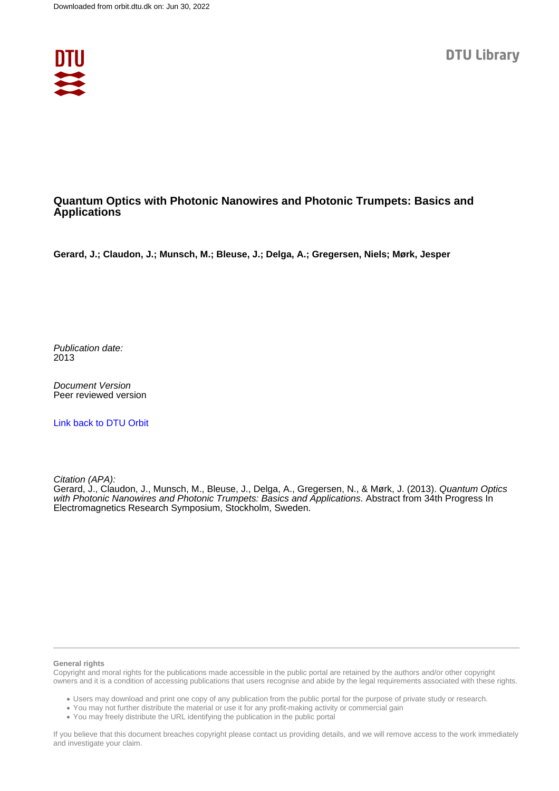

## **Quantum Optics with Photonic Nanowires and Photonic Trumpets: Basics and Applications**

**Gerard, J.; Claudon, J.; Munsch, M.; Bleuse, J.; Delga, A.; Gregersen, Niels; Mørk, Jesper**

Publication date: 2013

Document Version Peer reviewed version

[Link back to DTU Orbit](https://orbit.dtu.dk/en/publications/1bf31bae-753e-4556-80c6-5ba58b60bcfb)

Citation (APA):

Gerard, J., Claudon, J., Munsch, M., Bleuse, J., Delga, A., Gregersen, N., & Mørk, J. (2013). Quantum Optics with Photonic Nanowires and Photonic Trumpets: Basics and Applications. Abstract from 34th Progress In Electromagnetics Research Symposium, Stockholm, Sweden.

## **General rights**

Copyright and moral rights for the publications made accessible in the public portal are retained by the authors and/or other copyright owners and it is a condition of accessing publications that users recognise and abide by the legal requirements associated with these rights.

Users may download and print one copy of any publication from the public portal for the purpose of private study or research.

- You may not further distribute the material or use it for any profit-making activity or commercial gain
- You may freely distribute the URL identifying the publication in the public portal

If you believe that this document breaches copyright please contact us providing details, and we will remove access to the work immediately and investigate your claim.